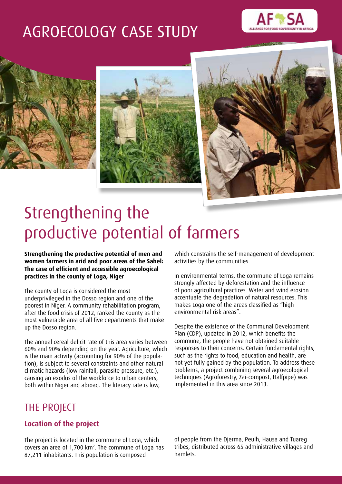# AGROECOLOGY CASE STUDY









# Strengthening the productive potential of farmers

**Strengthening the productive potential of men and women farmers in arid and poor areas of the Sahel: The case of efficient and accessible agroecological practices in the county of Loga, Niger**

The county of Loga is considered the most underprivileged in the Dosso region and one of the poorest in Niger. A community rehabilitation program, after the food crisis of 2012, ranked the county as the most vulnerable area of all five departments that make up the Dosso region.

The annual cereal deficit rate of this area varies between 60% and 90% depending on the year. Agriculture, which is the main activity (accounting for 90% of the population), is subject to several constraints and other natural climatic hazards (low rainfall, parasite pressure, etc.), causing an exodus of the workforce to urban centers, both within Niger and abroad. The literacy rate is low,

which constrains the self-management of development activities by the communities.

In environmental terms, the commune of Loga remains strongly affected by deforestation and the influence of poor agricultural practices. Water and wind erosion accentuate the degradation of natural resources. This makes Loga one of the areas classified as "high environmental risk areas".

Despite the existence of the Communal Development Plan (CDP), updated in 2012, which benefits the commune, the people have not obtained suitable responses to their concerns. Certain fundamental rights, such as the rights to food, education and health, are not yet fully gained by the population. To address these problems, a project combining several agroecological techniques (Agroforestry, Zai-compost, Halfpipe) was implemented in this area since 2013.

# THE PROJECT

## **Location of the project**

The project is located in the commune of Loga, which covers an area of 1,700 km2 . The commune of Loga has 87,211 inhabitants. This population is composed

of people from the Djerma, Peulh, Hausa and Tuareg tribes, distributed across 65 administrative villages and hamlets.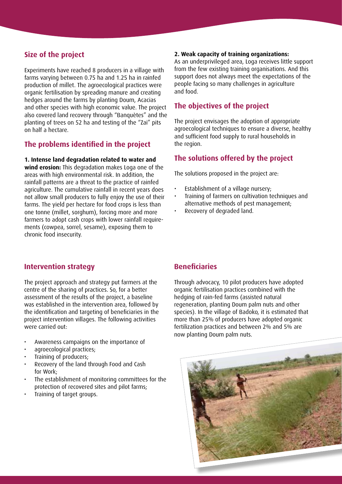#### **Size of the project**

Experiments have reached 8 producers in a village with farms varying between 0.75 ha and 1.25 ha in rainfed production of millet. The agroecological practices were organic fertilisation by spreading manure and creating hedges around the farms by planting Doum, Acacias and other species with high economic value. The project also covered land recovery through "Banquètes" and the planting of trees on 52 ha and testing of the "Zai" pits on half a hectare.

#### **The problems identified in the project**

#### **1. Intense land degradation related to water and**

**wind erosion:** This degradation makes Loga one of the areas with high environmental risk. In addition, the rainfall patterns are a threat to the practice of rainfed agriculture. The cumulative rainfall in recent years does not allow small producers to fully enjoy the use of their farms. The yield per hectare for food crops is less than one tonne (millet, sorghum), forcing more and more farmers to adopt cash crops with lower rainfall requirements (cowpea, sorrel, sesame), exposing them to chronic food insecurity.

#### **2. Weak capacity of training organizations:**

As an underprivileged area, Loga receives little support from the few existing training organisations. And this support does not always meet the expectations of the people facing so many challenges in agriculture and food.

#### **The objectives of the project**

The project envisages the adoption of appropriate agroecological techniques to ensure a diverse, healthy and sufficient food supply to rural households in the region.

#### **The solutions offered by the project**

The solutions proposed in the project are:

- Establishment of a village nursery:
- Training of farmers on cultivation techniques and alternative methods of pest management;
- Recovery of degraded land.

#### **Intervention strategy**

The project approach and strategy put farmers at the centre of the sharing of practices. So, for a better assessment of the results of the project, a baseline was established in the intervention area, followed by the identification and targeting of beneficiaries in the project intervention villages. The following activities were carried out:

- • Awareness campaigns on the importance of
- agroecological practices:
- Training of producers;
- Recovery of the land through Food and Cash for Work;
- The establishment of monitoring committees for the protection of recovered sites and pilot farms;
- Training of target groups.

## **Beneficiaries**

Through advocacy, 10 pilot producers have adopted organic fertilisation practices combined with the hedging of rain-fed farms (assisted natural regeneration, planting Doum palm nuts and other species). In the village of Badoko, it is estimated that more than 25% of producers have adopted organic fertilization practices and between 2% and 5% are now planting Doum palm nuts.

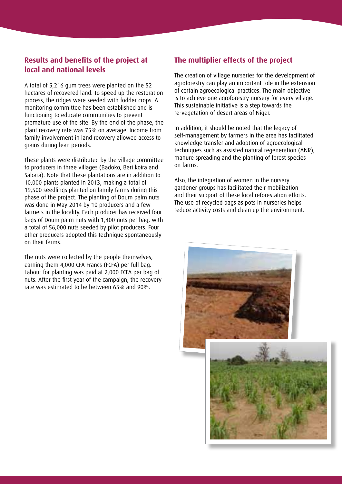## **Results and benefits of the project at local and national levels**

A total of 5,216 gum trees were planted on the 52 hectares of recovered land. To speed up the restoration process, the ridges were seeded with fodder crops. A monitoring committee has been established and is functioning to educate communities to prevent premature use of the site. By the end of the phase, the plant recovery rate was 75% on average. Income from family involvement in land recovery allowed access to grains during lean periods.

These plants were distributed by the village committee to producers in three villages (Badoko, Beri koira and Sabara). Note that these plantations are in addition to 10,000 plants planted in 2013, making a total of 19,500 seedlings planted on family farms during this phase of the project. The planting of Doum palm nuts was done in May 2014 by 10 producers and a few farmers in the locality. Each producer has received four bags of Doum palm nuts with 1,400 nuts per bag, with a total of 56,000 nuts seeded by pilot producers. Four other producers adopted this technique spontaneously on their farms.

The nuts were collected by the people themselves, earning them 4,000 CFA Francs (FCFA) per full bag. Labour for planting was paid at 2,000 FCFA per bag of nuts. After the first year of the campaign, the recovery rate was estimated to be between 65% and 90%.

#### **The multiplier effects of the project**

The creation of village nurseries for the development of agroforestry can play an important role in the extension of certain agroecological practices. The main objective is to achieve one agroforestry nursery for every village. This sustainable initiative is a step towards the re-vegetation of desert areas of Niger.

In addition, it should be noted that the legacy of self-management by farmers in the area has facilitated knowledge transfer and adoption of agroecological techniques such as assisted natural regeneration (ANR), manure spreading and the planting of forest species on farms.

Also, the integration of women in the nursery gardener groups has facilitated their mobilization and their support of these local reforestation efforts. The use of recycled bags as pots in nurseries helps reduce activity costs and clean up the environment.